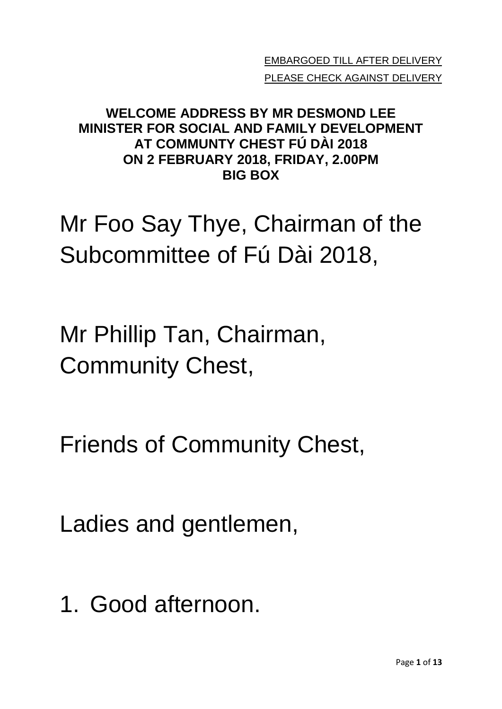EMBARGOED TILL AFTER DELIVERY PLEASE CHECK AGAINST DELIVERY

## **WELCOME ADDRESS BY MR DESMOND LEE MINISTER FOR SOCIAL AND FAMILY DEVELOPMENT AT COMMUNTY CHEST FÚ DÀI 2018 ON 2 FEBRUARY 2018, FRIDAY, 2.00PM BIG BOX**

Mr Foo Say Thye, Chairman of the Subcommittee of Fú Dài 2018,

Mr Phillip Tan, Chairman, Community Chest,

Friends of Community Chest,

Ladies and gentlemen,

1. Good afternoon.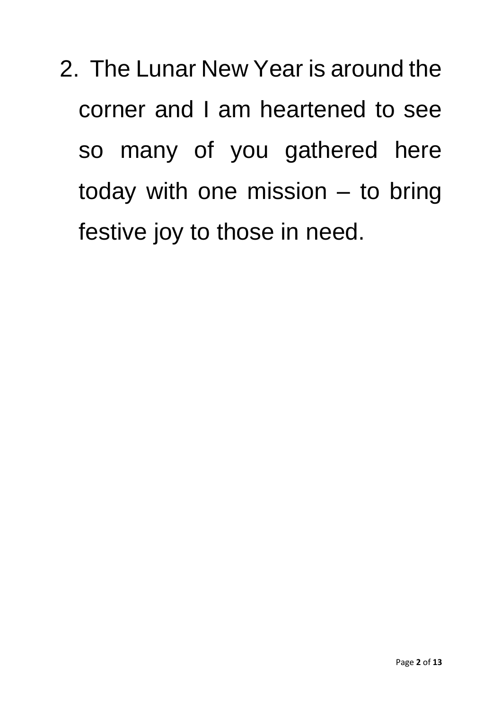2. The Lunar New Year is around the corner and I am heartened to see so many of you gathered here today with one mission – to bring festive joy to those in need.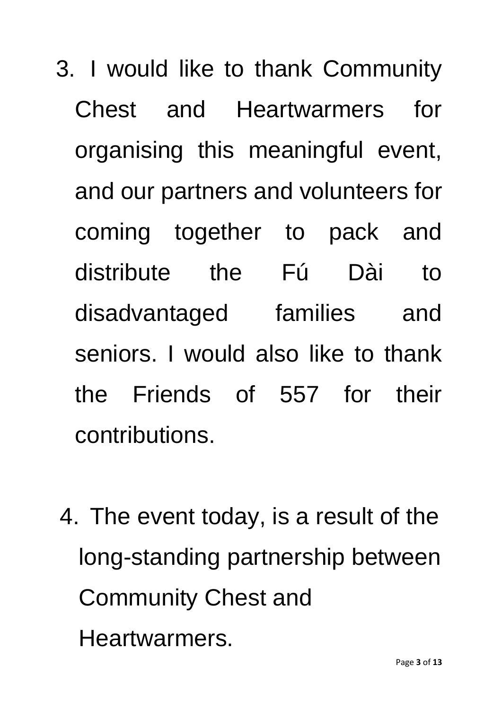- 3. I would like to thank Community Chest and Heartwarmers for organising this meaningful event, and our partners and volunteers for coming together to pack and distribute the Fú Dài to disadvantaged families and seniors. I would also like to thank the Friends of 557 for their contributions.
- 4. The event today, is a result of the long-standing partnership between Community Chest and Heartwarmers.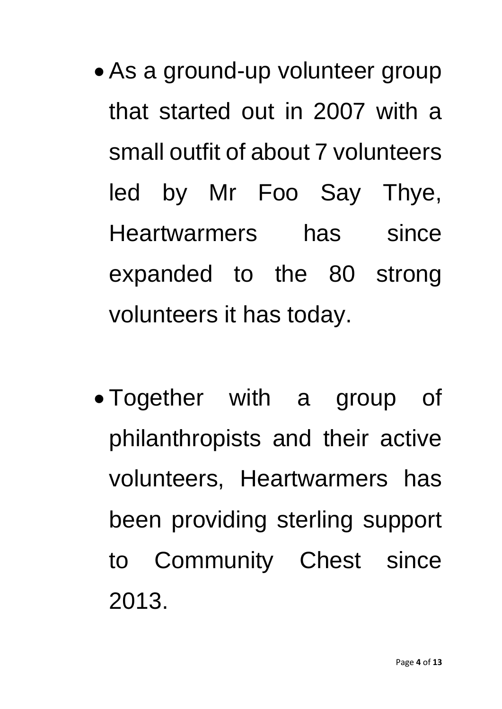- As a ground-up volunteer group that started out in 2007 with a small outfit of about 7 volunteers led by Mr Foo Say Thye, Heartwarmers has since expanded to the 80 strong volunteers it has today.
- Together with a group of philanthropists and their active volunteers, Heartwarmers has been providing sterling support to Community Chest since 2013.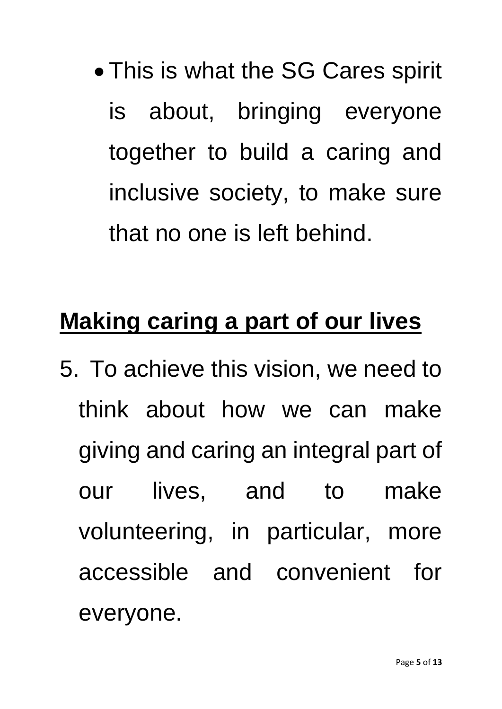This is what the SG Cares spirit is about, bringing everyone together to build a caring and inclusive society, to make sure that no one is left behind.

## **Making caring a part of our lives**

5. To achieve this vision, we need to think about how we can make giving and caring an integral part of our lives, and to make volunteering, in particular, more accessible and convenient for everyone.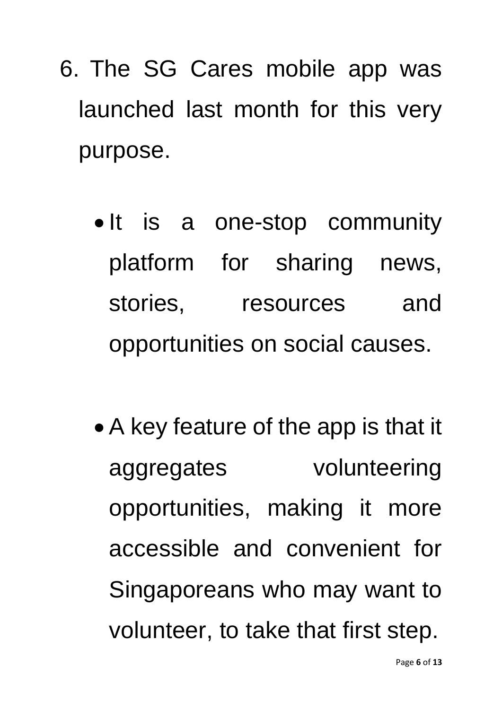- 6. The SG Cares mobile app was launched last month for this very purpose.
	- It is a one-stop community platform for sharing news, stories, resources and opportunities on social causes.
	- A key feature of the app is that it aggregates volunteering opportunities, making it more accessible and convenient for Singaporeans who may want to volunteer, to take that first step.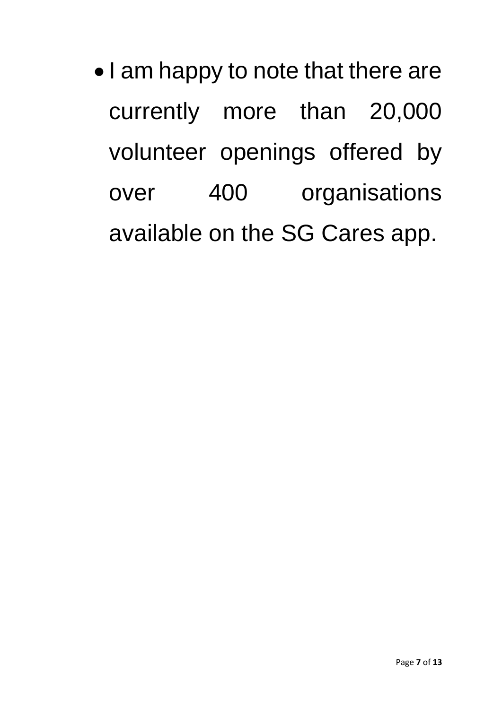• I am happy to note that there are currently more than 20,000 volunteer openings offered by over 400 organisations available on the SG Cares app.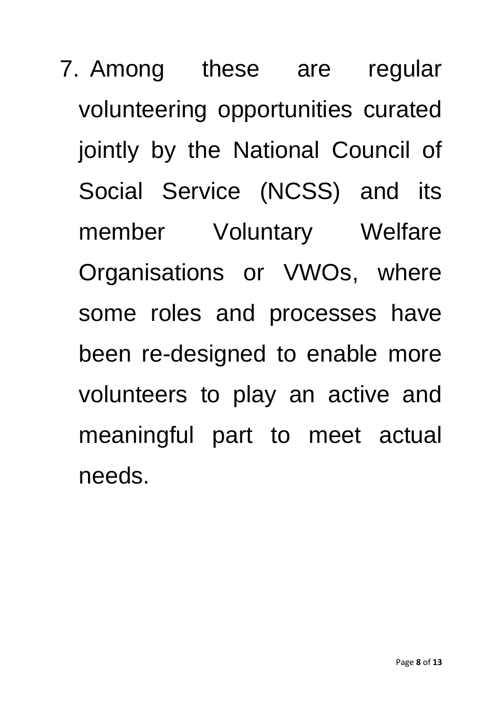7. Among these are regular volunteering opportunities curated jointly by the National Council of Social Service (NCSS) and its member Voluntary Welfare Organisations or VWOs, where some roles and processes have been re-designed to enable more volunteers to play an active and meaningful part to meet actual needs.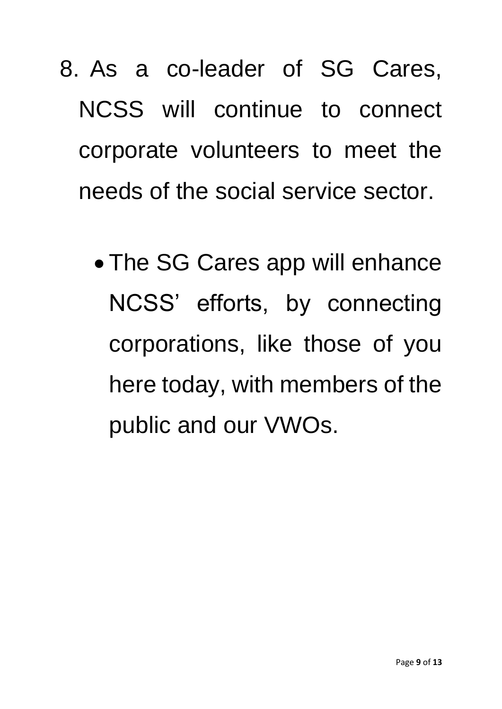8. As a co-leader of SG Cares, NCSS will continue to connect corporate volunteers to meet the needs of the social service sector.

 The SG Cares app will enhance NCSS' efforts, by connecting corporations, like those of you here today, with members of the public and our VWOs.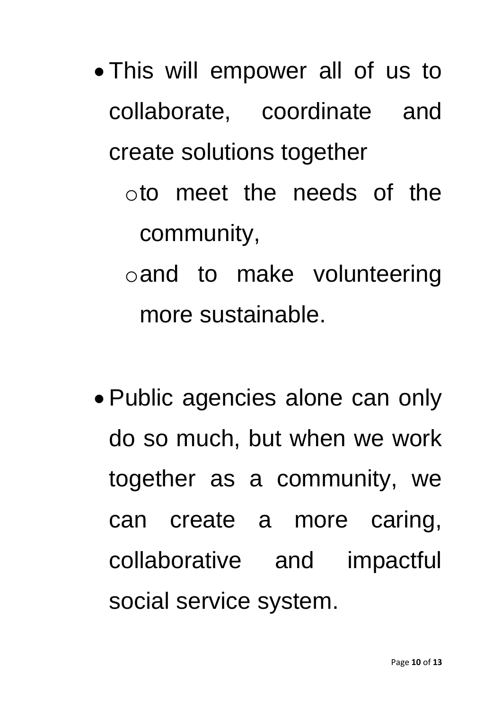- This will empower all of us to collaborate, coordinate and create solutions together
	- oto meet the needs of the community,
	- oand to make volunteering more sustainable.
- Public agencies alone can only do so much, but when we work together as a community, we can create a more caring, collaborative and impactful social service system.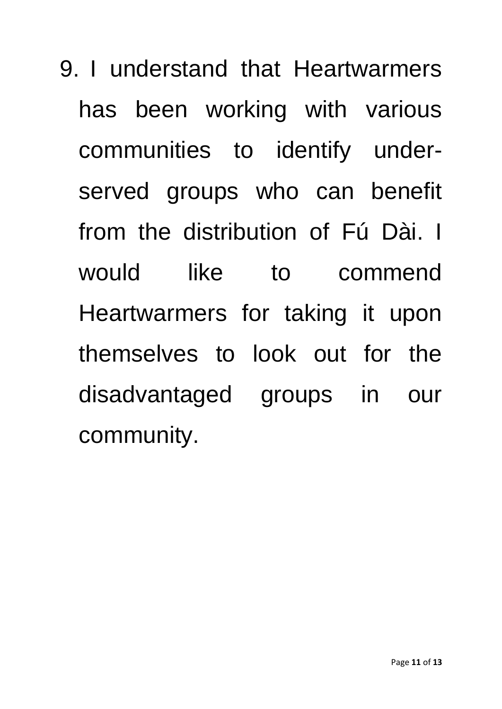9. I understand that Heartwarmers has been working with various communities to identify underserved groups who can benefit from the distribution of Fú Dài. I would like to commend Heartwarmers for taking it upon themselves to look out for the disadvantaged groups in our community.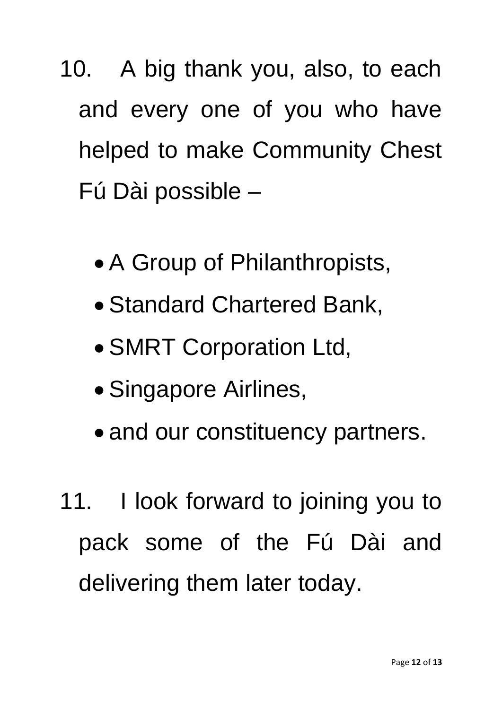10. A big thank you, also, to each and every one of you who have helped to make Community Chest Fú Dài possible –

- A Group of Philanthropists,
- Standard Chartered Bank,
- SMRT Corporation Ltd,
- Singapore Airlines,
- and our constituency partners.
- 11. I look forward to joining you to pack some of the Fú Dài and delivering them later today.